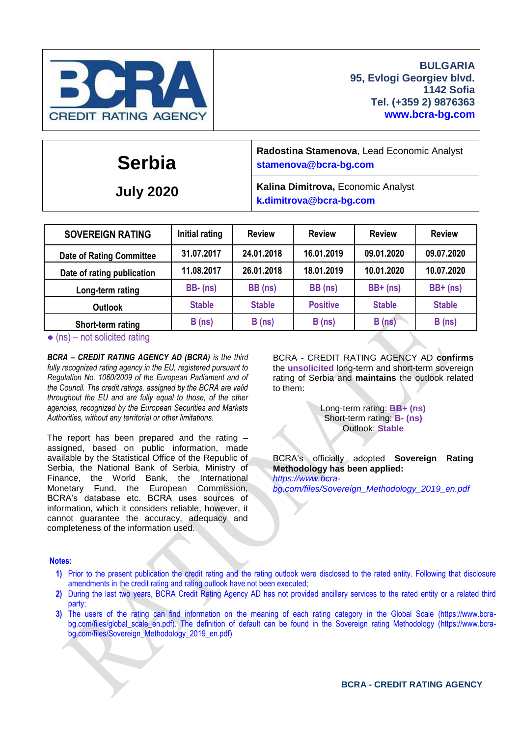

## **Serbia**

**July 2020**

**Radostina Stamenova**, Lead Economic Analyst **[stamenova@bcra-bg.com](mailto:stamenova@bcra-bg.com)**

**Kalina Dimitrova,** Economic Analyst **k[.dimitrova@bcra-bg.com](mailto:dimitrova@bcra-bg.com)**

| <b>SOVEREIGN RATING</b>         | Initial rating | <b>Review</b> | <b>Review</b>   | <b>Review</b> | <b>Review</b> |
|---------------------------------|----------------|---------------|-----------------|---------------|---------------|
| <b>Date of Rating Committee</b> | 31.07.2017     | 24.01.2018    | 16.01.2019      | 09.01.2020    | 09.07.2020    |
| Date of rating publication      | 11.08.2017     | 26.01.2018    | 18.01.2019      | 10.01.2020    | 10.07.2020    |
| Long-term rating                | $BB - (ns)$    | BB (ns)       | BB (ns)         | $BB+ (ns)$    | $BB+ (ns)$    |
| <b>Outlook</b>                  | <b>Stable</b>  | <b>Stable</b> | <b>Positive</b> | <b>Stable</b> | <b>Stable</b> |
| Short-term rating               | B(ns)          | B(ns)         | B(ns)           | B(ns)         | B(ns)         |

 $\bullet$  (ns) – not solicited rating

*BCRA – CREDIT RATING AGENCY AD (BCRA) is the third fully recognized rating agency in the EU, registered pursuant to Regulation No. 1060/2009 of the European Parliament and of the Council. The credit ratings, assigned by the BCRA are valid throughout the EU and are fully equal to those, of the other agencies, recognized by the European Securities and Markets Authorities, without any territorial or other limitations.*

The report has been prepared and the rating – assigned, based on public information, made available by the Statistical Office of the Republic of Serbia, the National Bank of Serbia, Ministry of Finance, the World Bank, the International Monetary Fund, the European Commission, BCRA's database etc. BCRA uses sources of information, which it considers reliable, however, it cannot guarantee the accuracy, adequacy and completeness of the information used.

BCRA - CREDIT RATING AGENCY AD **confirms** the **unsolicited** long-term and short-term sovereign rating of Serbia and **maintains** the outlook related to them:

> Long-term rating: **BB+ (ns)** Short-term rating: **B- (ns)** Outlook: **Stable**

BCRA's officially adopted **Sovereign Rating Methodology has been applied:** *[https://www.bcra](https://www.bcra-bg.com/files/Sovereign_Methodology_2019_en.pdf)[bg.com/files/Sovereign\\_Methodology\\_2019\\_en.pdf](https://www.bcra-bg.com/files/Sovereign_Methodology_2019_en.pdf)*

#### **Notes:**

- **1)** Prior to the present publication the credit rating and the rating outlook were disclosed to the rated entity. Following that disclosure amendments in the credit rating and rating outlook have not been executed;
- **2)** During the last two years, BCRA Credit Rating Agency AD has not provided ancillary services to the rated entity or a related third party;
- **3)** The users of the rating can find information on the meaning of each rating category in the Global Scale [\(https://www.bcra-](https://www.bcra-bg.com/files/global_scale_en.pdf)bg.com/files/global scale en.pdf). The definition of default can be found in the Sovereign rating Methodology [\(https://www.bcra](https://www.bcra-bg.com/files/Sovereign_Methodology_2019_en.pdf)[bg.com/files/Sovereign\\_Methodology\\_2019\\_en.pdf\)](https://www.bcra-bg.com/files/Sovereign_Methodology_2019_en.pdf)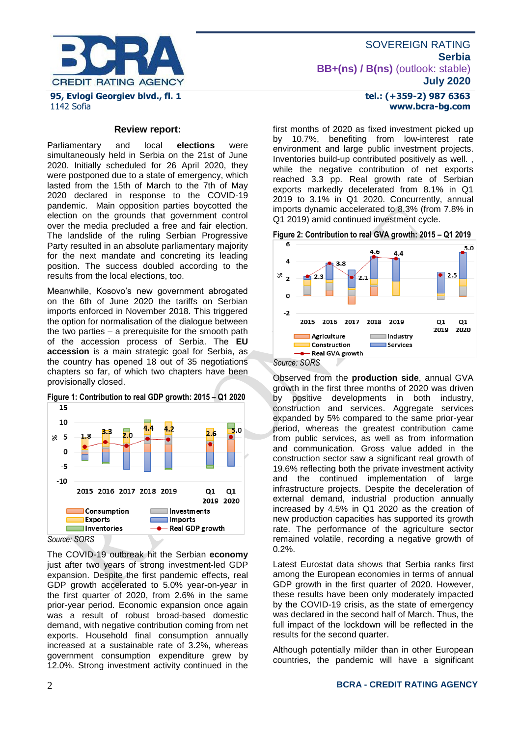

1142 Sofia

#### **Review report:**

Parliamentary and local **elections** were simultaneously held in Serbia on the 21st of June 2020. Initially scheduled for 26 April 2020, they were postponed due to а state of emergency, which lasted from the 15th of March to the 7th of May 2020 declared in response to the COVID-19 pandemic. Main opposition parties boycotted the election on the grounds that government control over the media precluded a free and fair election. The landslide of the ruling Serbian Progressive Party resulted in an absolute parliamentary majority for the next mandate and concreting its leading position. The success doubled according to the results from the local elections, too.

Meanwhile, Kosovo's new government abrogated on the 6th of June 2020 the tariffs on Serbian imports enforced in November 2018. This triggered the option for normalisation of the dialogue between the two parties – a prerequisite for the smooth path of the accession process of Serbia. The **EU accession** is a main strategic goal for Serbia, as the country has opened 18 out of 35 negotiations chapters so far, of which two chapters have been provisionally closed.





*Source: SORS*

The COVID-19 outbreak hit the Serbian **economy**  just after two years of strong investment-led GDP expansion. Despite the first pandemic effects, real GDP growth accelerated to 5.0% year-on-year in the first quarter of 2020, from 2.6% in the same prior-year period. Economic expansion once again was a result of robust broad-based domestic demand, with negative contribution coming from net exports. Household final consumption annually increased at a sustainable rate of 3.2%, whereas government consumption expenditure grew by 12.0%. Strong investment activity continued in the

## **tel.: (+359-2) 987 6363 www.bcra-bg.com**

first months of 2020 as fixed investment picked up by 10.7%, benefiting from low-interest rate environment and large public investment projects. Inventories build-up contributed positively as well. , while the negative contribution of net exports reached 3.3 pp. Real growth rate of Serbian exports markedly decelerated from 8.1% in Q1 2019 to 3.1% in Q1 2020. Concurrently, annual imports dynamic accelerated to 8.3% (from 7.8% in Q1 2019) amid continued investment cycle.





*Source: SORS*

Observed from the **production side**, annual GVA growth in the first three months of 2020 was driven by positive developments in both industry, construction and services. Aggregate services expanded by 5% compared to the same prior-year period, whereas the greatest contribution came from public services, as well as from information and communication. Gross value added in the construction sector saw a significant real growth of 19.6% reflecting both the private investment activity and the continued implementation of large infrastructure projects. Despite the deceleration of external demand, industrial production annually increased by 4.5% in Q1 2020 as the creation of new production capacities has supported its growth rate. The performance of the agriculture sector remained volatile, recording a negative growth of 0.2%.

Latest Eurostat data shows that Serbia ranks first among the European economies in terms of annual GDP growth in the first quarter of 2020. However, these results have been only moderately impacted by the COVID-19 crisis, as the state of emergency was declared in the second half of March. Thus, the full impact of the lockdown will be reflected in the results for the second quarter.

Although potentially milder than in other European countries, the pandemic will have a significant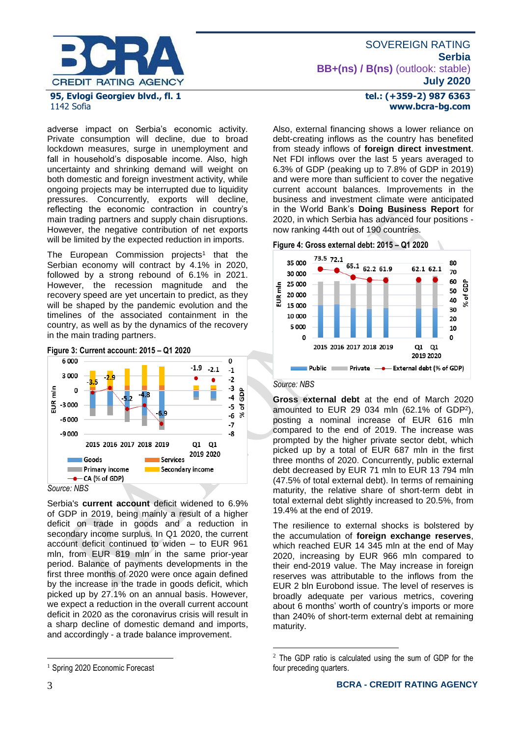

# 1142 Sofia

adverse impact on Serbia's economic activity. Private consumption will decline, due to broad lockdown measures, surge in unemployment and fall in household's disposable income. Also, high uncertainty and shrinking demand will weight on both domestic and foreign investment activity, while ongoing projects may be interrupted due to liquidity pressures. Concurrently, exports will decline, reflecting the economic contraction in country's main trading partners and supply chain disruptions. However, the negative contribution of net exports will be limited by the expected reduction in imports.

The European Commission projects<sup>1</sup> that the Serbian economy will contract by 4.1% in 2020, followed by a strong rebound of 6.1% in 2021. However, the recession magnitude and the recovery speed are yet uncertain to predict, as they will be shaped by the pandemic evolution and the timelines of the associated containment in the country, as well as by the dynamics of the recovery in the main trading partners.



Serbia's **current account** deficit widened to 6.9% of GDP in 2019, being mainly a result of a higher deficit on trade in goods and a reduction in secondary income surplus. In Q1 2020, the current account deficit continued to widen – to EUR 961 mln, from EUR 819 mln in the same prior-year period. Balance of payments developments in the first three months of 2020 were once again defined by the increase in the trade in goods deficit, which picked up by 27.1% on an annual basis. However, we expect a reduction in the overall current account deficit in 2020 as the coronavirus crisis will result in a sharp decline of domestic demand and imports, and accordingly - a trade balance improvement.

#### **tel.: (+359-2) 987 6363 www.bcra-bg.com**

Also, external financing shows a lower reliance on debt-creating inflows as the country has benefited from steady inflows of **foreign direct investment**. Net FDI inflows over the last 5 years averaged to 6.3% of GDP (peaking up to 7.8% of GDP in 2019) and were more than sufficient to cover the negative current account balances. Improvements in the business and investment climate were anticipated in the World Bank's **Doing Business Report** for 2020, in which Serbia has advanced four positions now ranking 44th out of 190 countries.





#### *Source: NBS*

<u>.</u>

**Gross external debt** at the end of March 2020 amounted to EUR 29 034 mln (62.1% of GDP<sup>2</sup> ), posting a nominal increase of EUR 616 mln compared to the end of 2019. The increase was prompted by the higher private sector debt, which picked up by a total of EUR 687 mln in the first three months of 2020. Concurrently, public external debt decreased by EUR 71 mln to EUR 13 794 mln (47.5% of total external debt). In terms of remaining maturity, the relative share of short-term debt in total external debt slightly increased to 20.5%, from 19.4% at the end of 2019.

The resilience to external shocks is bolstered by the accumulation of **foreign exchange reserves**, which reached EUR 14 345 mln at the end of May 2020, increasing by EUR 966 mln compared to their end-2019 value. The May increase in foreign reserves was attributable to the inflows from the EUR 2 bln Eurobond issue. The level of reserves is broadly adequate per various metrics, covering about 6 months' worth of country's imports or more than 240% of short-term external debt at remaining maturity.

<u>.</u>

<sup>&</sup>lt;sup>1</sup> Spring 2020 Economic Forecast

<sup>2</sup> The GDP ratio is calculated using the sum of GDP for the four preceding quarters.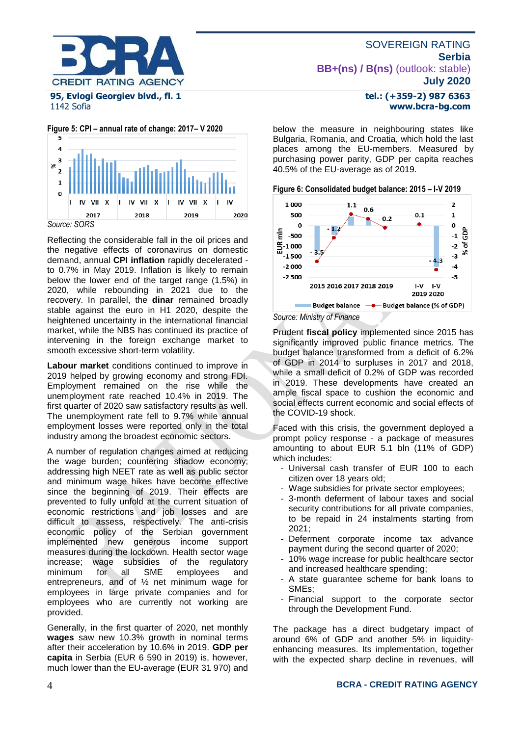

## 1142 Sofia

**Figure 5: CPI – annual rate of change: 2017– V 2020**



Reflecting the considerable fall in the oil prices and the negative effects of coronavirus on domestic demand, annual **CPI inflation** rapidly decelerated to 0.7% in May 2019. Inflation is likely to remain below the lower end of the target range (1.5%) in 2020, while rebounding in 2021 due to the recovery. In parallel, the **dinar** remained broadly stable against the euro in H1 2020, despite the heightened uncertainty in the international financial market, while the NBS has continued its practice of intervening in the foreign exchange market to smooth excessive short-term volatility.

**Labour market** conditions continued to improve in 2019 helped by growing economy and strong FDI. Employment remained on the rise while the unemployment rate reached 10.4% in 2019. The first quarter of 2020 saw satisfactory results as well. The unemployment rate fell to 9.7% while annual employment losses were reported only in the total industry among the broadest economic sectors.

A number of regulation changes aimed at reducing the wage burden; countering shadow economy; addressing high NEET rate as well as public sector and minimum wage hikes have become effective since the beginning of 2019. Their effects are prevented to fully unfold at the current situation of economic restrictions and job losses and are difficult to assess, respectively. The anti-crisis economic policy of the Serbian government implemented new generous income support measures during the lockdown. Health sector wage increase; wage subsidies of the regulatory<br>minimum for all SME employees and minimum for all SME employees and entrepreneurs, and of ½ net minimum wage for employees in large private companies and for employees who are currently not working are provided.

Generally, in the first quarter of 2020, net monthly **wages** saw new 10.3% growth in nominal terms after their acceleration by 10.6% in 2019. **GDP per capita** in Serbia (EUR 6 590 in 2019) is, however, much lower than the EU-average (EUR 31 970) and

#### **tel.: (+359-2) 987 6363 www.bcra-bg.com**

below the measure in neighbouring states like Bulgaria, Romania, and Croatia, which hold the last places among the EU-members. Measured by purchasing power parity, GDP per capita reaches 40.5% of the EU-average as of 2019.





Prudent **fiscal policy** implemented since 2015 has significantly improved public finance metrics. The budget balance transformed from a deficit of 6.2% of GDP in 2014 to surpluses in 2017 and 2018, while a small deficit of 0.2% of GDP was recorded in 2019. These developments have created an ample fiscal space to cushion the economic and social effects current economic and social effects of the COVID-19 shock.

Faced with this crisis, the government deployed a prompt policy response - a package of measures amounting to about EUR 5.1 bln (11% of GDP) which includes:

- Universal cash transfer of EUR 100 to each citizen over 18 years old;
- Wage subsidies for private sector employees;
- 3-month deferment of labour taxes and social security contributions for all private companies, to be repaid in 24 instalments starting from 2021;
- Deferment corporate income tax advance payment during the second quarter of 2020;
- 10% wage increase for public healthcare sector and increased healthcare spending;
- A state guarantee scheme for bank loans to SMEs;
- Financial support to the corporate sector through the Development Fund.

The package has a direct budgetary impact of around 6% of GDP and another 5% in liquidityenhancing measures. Its implementation, together with the expected sharp decline in revenues, will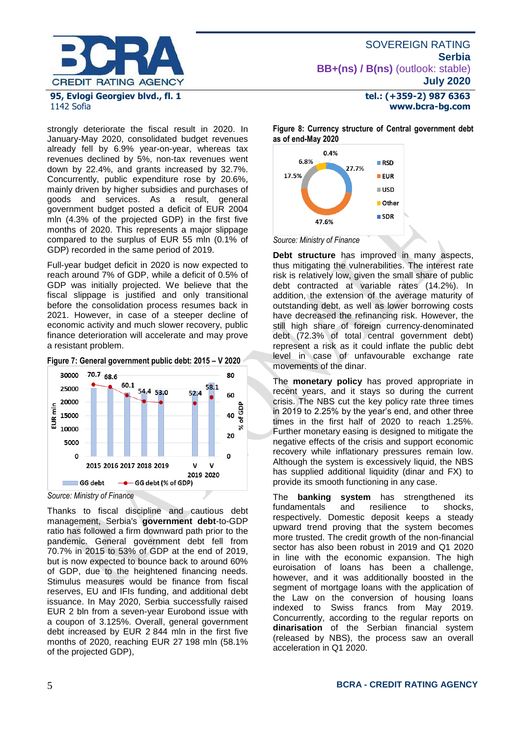

### **tel.: (+359-2) 987 6363 www.bcra-bg.com**

strongly deteriorate the fiscal result in 2020. In January-May 2020, consolidated budget revenues already fell by 6.9% year-on-year, whereas tax revenues declined by 5%, non-tax revenues went down by 22.4%, and grants increased by 32.7%. Concurrently, public expenditure rose by 20.6%,

mainly driven by higher subsidies and purchases of goods and services. As a result, general government budget posted a deficit of EUR 2004 mln (4.3% of the projected GDP) in the first five months of 2020. This represents a major slippage compared to the surplus of EUR 55 mln (0.1% of GDP) recorded in the same period of 2019.

Full-year budget deficit in 2020 is now expected to reach around 7% of GDP, while a deficit of 0.5% of GDP was initially projected. We believe that the fiscal slippage is justified and only transitional before the consolidation process resumes back in 2021. However, in case of a steeper decline of economic activity and much slower recovery, public finance deterioration will accelerate and may prove a resistant problem.





*Source: Ministry of Finance*

Thanks to fiscal discipline and cautious debt management, Serbia's **government debt**-to-GDP ratio has followed a firm downward path prior to the pandemic. General government debt fell from 70.7% in 2015 to 53% of GDP at the end of 2019, but is now expected to bounce back to around 60% of GDP, due to the heightened financing needs. Stimulus measures would be finance from fiscal reserves, EU and IFIs funding, and additional debt issuance. In May 2020, Serbia successfully raised EUR 2 bln from a seven-year Eurobond issue with a coupon of 3.125%. Overall, general government debt increased by EUR 2 844 mln in the first five months of 2020, reaching EUR 27 198 mln (58.1% of the projected GDP),

**Figure 8: Currency structure of Central government debt as of end-May 2020**



*Source: Ministry of Finance*

**Debt structure** has improved in many aspects, thus mitigating the vulnerabilities. The interest rate risk is relatively low, given the small share of public debt contracted at variable rates (14.2%). In addition, the extension of the average maturity of outstanding debt, as well as lower borrowing costs have decreased the refinancing risk. However, the still high share of foreign currency-denominated debt (72.3% of total central government debt) represent a risk as it could inflate the public debt level in case of unfavourable exchange rate movements of the dinar.

The **monetary policy** has proved appropriate in recent years, and it stays so during the current crisis. The NBS cut the key policy rate three times in 2019 to 2.25% by the year's end, and other three times in the first half of 2020 to reach 1.25%. Further monetary easing is designed to mitigate the negative effects of the crisis and support economic recovery while inflationary pressures remain low. Although the system is excessively liquid, the NBS has supplied additional liquidity (dinar and FX) to provide its smooth functioning in any case.

The **banking system** has strengthened its fundamentals and resilience to shocks, respectively. Domestic deposit keeps a steady upward trend proving that the system becomes more trusted. The credit growth of the non-financial sector has also been robust in 2019 and Q1 2020 in line with the economic expansion. The high euroisation of loans has been a challenge, however, and it was additionally boosted in the segment of mortgage loans with the application of the Law on the conversion of housing loans indexed to Swiss francs from May 2019. Concurrently, according to the regular reports on **dinarisation** of the Serbian financial system (released by NBS), the process saw an overall acceleration in Q1 2020.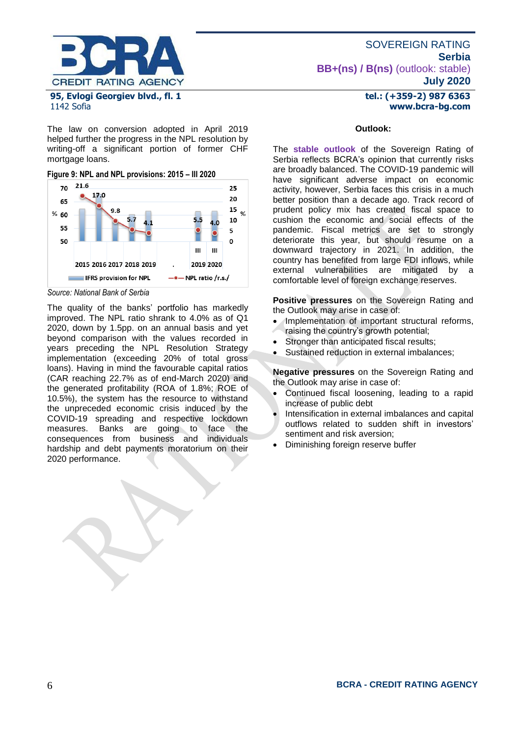

1142 Sofia

The law on conversion adopted in April 2019 helped further the progress in the NPL resolution by writing-off a significant portion of former CHF mortgage loans.

**Figure 9: NPL and NPL provisions: 2015 – III 2020**



*Source: National Bank of Serbia*

The quality of the banks' portfolio has markedly improved. The NPL ratio shrank to 4.0% as of Q1 2020, down by 1.5pp. on an annual basis and yet beyond comparison with the values recorded in years preceding the NPL Resolution Strategy implementation (exceeding 20% of total gross loans). Having in mind the favourable capital ratios (CAR reaching 22.7% as of end-March 2020) and the generated profitability (ROA of 1.8%; ROE of 10.5%), the system has the resource to withstand the unpreceded economic crisis induced by the COVID-19 spreading and respective lockdown measures. Banks are going to face the consequences from business and individuals hardship and debt payments moratorium on their 2020 performance.

#### **tel.: (+359-2) 987 6363 www.bcra-bg.com**

#### **Outlook:**

The **stable outlook** of the Sovereign Rating of Serbia reflects BCRA's opinion that currently risks are broadly balanced. The COVID-19 pandemic will have significant adverse impact on economic activity, however, Serbia faces this crisis in a much better position than a decade ago. Track record of prudent policy mix has created fiscal space to cushion the economic and social effects of the pandemic. Fiscal metrics are set to strongly deteriorate this year, but should resume on a downward trajectory in 2021. In addition, the country has benefited from large FDI inflows, while external vulnerabilities are mitigated by a comfortable level of foreign exchange reserves.

**Positive pressures** on the Sovereign Rating and the Outlook may arise in case of:

- Implementation of important structural reforms, raising the country's growth potential;
- Stronger than anticipated fiscal results:
- Sustained reduction in external imbalances;

**Negative pressures** on the Sovereign Rating and the Outlook may arise in case of:

- Continued fiscal loosening, leading to a rapid increase of public debt
- Intensification in external imbalances and capital outflows related to sudden shift in investors' sentiment and risk aversion;
- Diminishing foreign reserve buffer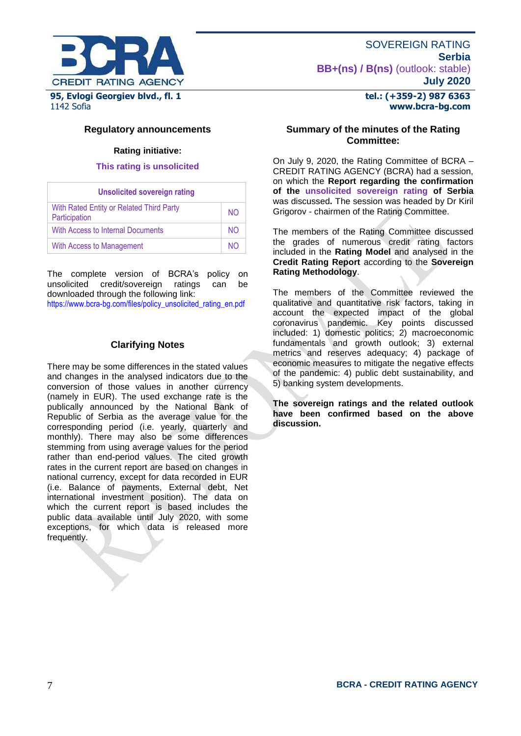

#### **tel.: (+359-2) 987 6363 www.bcra-bg.com**

#### **Regulatory announcements**

#### **Rating initiative:**

#### **This rating is unsolicited**

| <b>Unsolicited sovereign rating</b>                       |     |
|-----------------------------------------------------------|-----|
| With Rated Entity or Related Third Party<br>Participation | NO. |
| With Access to Internal Documents                         | NO. |
| With Access to Management                                 | NΟ  |

The complete version of BCRA's policy on unsolicited credit/sovereign ratings can be downloaded through the following link:

[https://www.bcra-bg.com/files/policy\\_unsolicited\\_rating\\_en.pdf](https://www.bcra-bg.com/files/policy_unsolicited_rating_en.pdf)

#### **Clarifying Notes**

There may be some differences in the stated values and changes in the analysed indicators due to the conversion of those values in another currency (namely in EUR). The used exchange rate is the publically announced by the National Bank of Republic of Serbia as the average value for the corresponding period (i.e. yearly, quarterly and monthly). There may also be some differences stemming from using average values for the period rather than end-period values. The cited growth rates in the current report are based on changes in national currency, except for data recorded in EUR (i.e. Balance of payments, External debt, Net international investment position). The data on which the current report is based includes the public data available until July 2020, with some exceptions, for which data is released more frequently.

#### **Summary of the minutes of the Rating Committee:**

On July 9, 2020, the Rating Committee of BCRA – CREDIT RATING AGENCY (BCRA) had a session, on which the **Report regarding the confirmation of the unsolicited sovereign rating of Serbia** was discussed**.** The session was headed by Dr Kiril Grigorov - chairmen of the Rating Committee.

The members of the Rating Committee discussed the grades of numerous credit rating factors included in the **Rating Model** and analysed in the **Credit Rating Report** according to the **Sovereign Rating Methodology**.

The members of the Committee reviewed the qualitative and quantitative risk factors, taking in account the expected impact of the global coronavirus pandemic. Key points discussed included: 1) domestic politics; 2) macroeconomic fundamentals and growth outlook; 3) external metrics and reserves adequacy; 4) package of economic measures to mitigate the negative effects of the pandemic: 4) public debt sustainability, and 5) banking system developments.

**The sovereign ratings and the related outlook have been confirmed based on the above discussion.**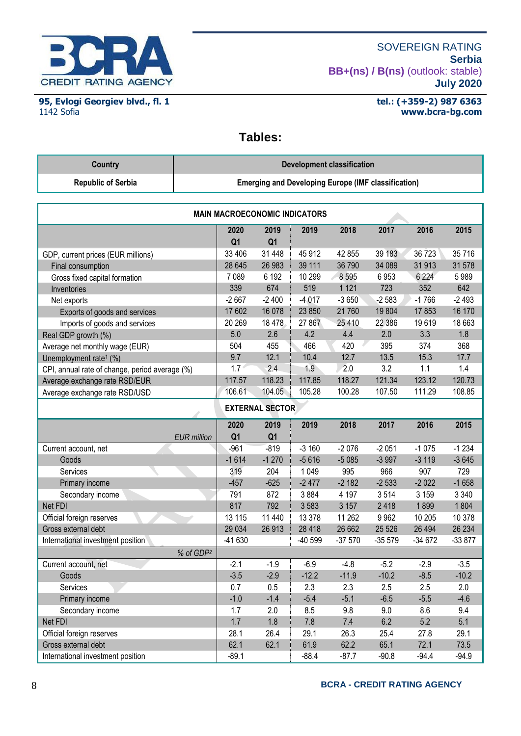

**95, Evlogi Georgiev blvd., fl. 1** 1142 Sofia

**tel.: (+359-2) 987 6363 www.bcra-bg.com** 

**Tables:**

| Country                   | Development classification                                 |
|---------------------------|------------------------------------------------------------|
| <b>Republic of Serbia</b> | <b>Emerging and Developing Europe (IMF classification)</b> |

| <b>MAIN MACROECONOMIC INDICATORS</b>           |                        |                        |          |          |           |          |          |
|------------------------------------------------|------------------------|------------------------|----------|----------|-----------|----------|----------|
|                                                | 2020<br>Q <sub>1</sub> | 2019<br>Q <sub>1</sub> | 2019     | 2018     | 2017      | 2016     | 2015     |
| GDP, current prices (EUR millions)             | 33 406                 | 31 448                 | 45 912   | 42 855   | 39 183    | 36 723   | 35716    |
| Final consumption                              | 28 645                 | 26 983                 | 39 111   | 36 790   | 34 089    | 31 913   | 31 578   |
| Gross fixed capital formation                  | 7 0 8 9                | 6 192                  | 10 299   | 8 5 9 5  | 6953      | 6 2 2 4  | 5989     |
| Inventories                                    | 339                    | 674                    | 519      | 1 1 2 1  | 723       | 352      | 642      |
| Net exports                                    | $-2667$                | $-2400$                | $-4.017$ | $-3650$  | $-2583$   | $-1766$  | $-2493$  |
| Exports of goods and services                  | 17 602                 | 16 078                 | 23 850   | 21 760   | 19 804    | 17853    | 16 170   |
| Imports of goods and services                  | 20 269                 | 18 4 78                | 27 867   | 25 410   | 22 386    | 19619    | 18 663   |
| Real GDP growth (%)                            | 5.0                    | 2.6                    | 4.2      | 4.4      | 2.0       | 3.3      | 1.8      |
| Average net monthly wage (EUR)                 | 504                    | 455                    | 466      | 420      | 395       | 374      | 368      |
| Unemployment rate <sup>1</sup> (%)             | 9.7                    | 12.1                   | 10.4     | 12.7     | 13.5      | 15.3     | 17.7     |
| CPI, annual rate of change, period average (%) | 1.7                    | 2.4                    | 1.9      | 2.0      | 3.2       | 1.1      | 1.4      |
| Average exchange rate RSD/EUR                  | 117.57                 | 118.23                 | 117.85   | 118.27   | 121.34    | 123.12   | 120.73   |
| Average exchange rate RSD/USD                  | 106.61                 | 104.05                 | 105.28   | 100.28   | 107.50    | 111.29   | 108.85   |
| <b>EXTERNAL SECTOR</b>                         |                        |                        |          |          |           |          |          |
|                                                | 2020                   | 2019                   | 2019     | 2018     | 2017      | 2016     | 2015     |
| <b>EUR</b> million                             | Q <sub>1</sub>         | Q <sub>1</sub>         |          |          |           |          |          |
| Current account, net                           | $-961$                 | $-819$                 | $-3160$  | $-2076$  | $-2051$   | $-1075$  | $-1234$  |
| Goods                                          | $-1614$                | $-1270$                | $-5616$  | $-5085$  | $-3997$   | $-3119$  | $-3645$  |
| Services                                       | 319                    | 204                    | 1 0 4 9  | 995      | 966       | 907      | 729      |
| Primary income                                 | $-457$                 | $-625$                 | $-2477$  | $-2182$  | $-2533$   | $-2022$  | $-1658$  |
| Secondary income                               | 791                    | 872                    | 3884     | 4 1 9 7  | 3514      | 3 1 5 9  | 3 3 4 0  |
| Net FDI                                        | 817                    | 792                    | 3583     | 3 1 5 7  | 2418      | 1899     | 1804     |
| Official foreign reserves                      | 13 115                 | 11 440                 | 13 3 78  | 11 262   | 9962      | 10 205   | 10 378   |
| Gross external debt                            | 29 0 34                | 26 913                 | 28 4 18  | 26 662   | 25 5 26   | 26 4 94  | 26 234   |
| International investment position              | $-41630$               |                        | -40 599  | $-37570$ | $-355579$ | $-34672$ | $-33877$ |
| % of GDP <sup>2</sup>                          |                        |                        |          |          |           |          |          |
| Current account, net                           | $-2.1$                 | $-1.9$                 | $-6.9$   | $-4.8$   | $-5.2$    | $-2.9$   | $-3.5$   |
| Goods                                          | $-3.5$                 | $-2.9$                 | $-12.2$  | $-11.9$  | $-10.2$   | $-8.5$   | $-10.2$  |
| Services                                       | 0.7                    | 0.5                    | 2.3      | 2.3      | 2.5       | 2.5      | 2.0      |
| Primary income                                 | $-1.0$                 | $-1.4$                 | $-5.4$   | $-5.1$   | $-6.5$    | $-5.5$   | $-4.6$   |
| Secondary income                               | 1.7                    | 2.0                    | 8.5      | 9.8      | 9.0       | 8.6      | 9.4      |
| Net FDI                                        | 1.7                    | $1.8\,$                | 7.8      | 7.4      | 6.2       | 5.2      | 5.1      |
| Official foreign reserves                      | 28.1                   | 26.4                   | 29.1     | 26.3     | 25.4      | 27.8     | 29.1     |
| Gross external debt                            | 62.1                   | 62.1                   | 61.9     | 62.2     | 65.1      | 72.1     | 73.5     |
| International investment position              | $-89.1$                |                        | $-88.4$  | $-87.7$  | $-90.8$   | $-94.4$  | $-94.9$  |